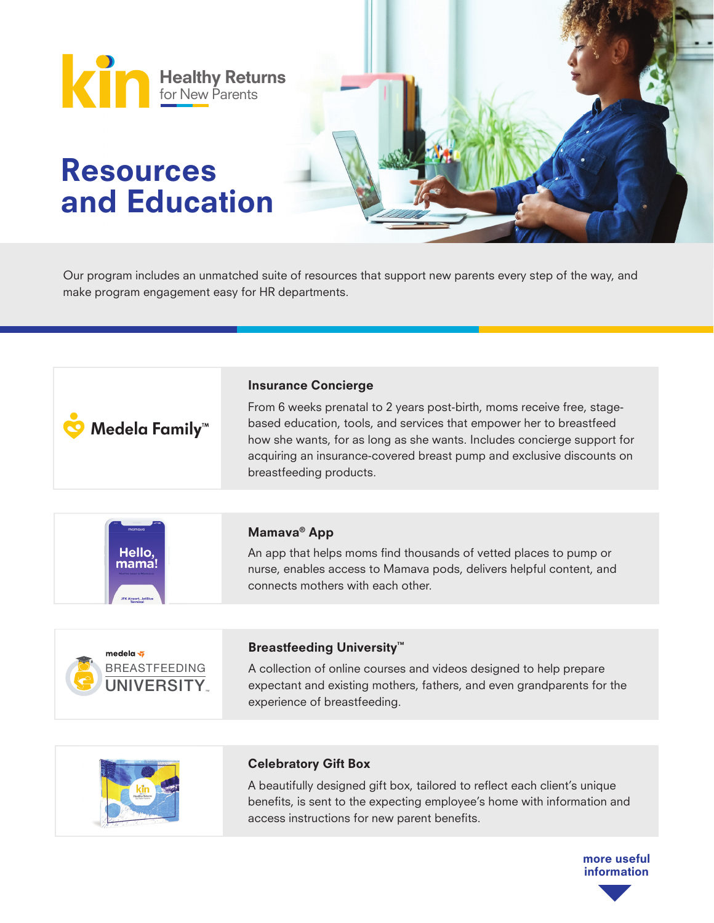

Our program includes an unmatched suite of resources that support new parents every step of the way, and make program engagement easy for HR departments.

| Medela Family <sup>™</sup>                                     | <b>Insurance Concierge</b><br>From 6 weeks prenatal to 2 years post-birth, moms receive free, stage-<br>based education, tools, and services that empower her to breastfeed<br>how she wants, for as long as she wants. Includes concierge support for<br>acquiring an insurance-covered breast pump and exclusive discounts on<br>breastfeeding products. |
|----------------------------------------------------------------|------------------------------------------------------------------------------------------------------------------------------------------------------------------------------------------------------------------------------------------------------------------------------------------------------------------------------------------------------------|
|                                                                |                                                                                                                                                                                                                                                                                                                                                            |
| momova<br>Hello<br><b>IFK Airport, JetBlu</b>                  | Mamava <sup>®</sup> App<br>An app that helps moms find thousands of vetted places to pump or<br>nurse, enables access to Mamava pods, delivers helpful content, and<br>connects mothers with each other.                                                                                                                                                   |
|                                                                |                                                                                                                                                                                                                                                                                                                                                            |
| medela $\sqrt{2}$<br><b>BREASTFEEDING</b><br><b>JNIVERSITY</b> | <b>Breastfeeding University™</b><br>A collection of online courses and videos designed to help prepare<br>expectant and existing mothers, fathers, and even grandparents for the<br>experience of breastfeeding.                                                                                                                                           |
|                                                                |                                                                                                                                                                                                                                                                                                                                                            |
|                                                                |                                                                                                                                                                                                                                                                                                                                                            |



## Celebratory Gift Box

A beautifully designed gift box, tailored to reflect each client's unique benefits, is sent to the expecting employee's home with information and access instructions for new parent benefits.

> more useful information